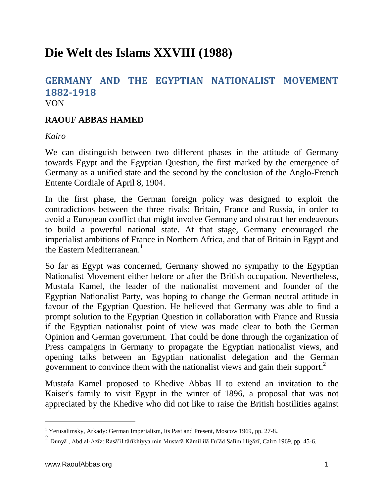## **Die Welt des Islams XXVIII (1988)**

## **GERMANY AND THE EGYPTIAN NATIONALIST MOVEMENT 1882-1918** VON

## **RAOUF ABBAS HAMED**

## *Kairo*

We can distinguish between two different phases in the attitude of Germany towards Egypt and the Egyptian Question, the first marked by the emergence of Germany as a unified state and the second by the conclusion of the Anglo-French Entente Cordiale of April 8, 1904.

In the first phase, the German foreign policy was designed to exploit the contradictions between the three rivals: Britain, France and Russia, in order to avoid a European conflict that might involve Germany and obstruct her endeavours to build a powerful national state. At that stage, Germany encouraged the imperialist ambitions of France in Northern Africa, and that of Britain in Egypt and the Eastern Mediterranean. 1

So far as Egypt was concerned, Germany showed no sympathy to the Egyptian Nationalist Movement either before or after the British occupation. Nevertheless, Mustafa Kamel, the leader of the nationalist movement and founder of the Egyptian Nationalist Party, was hoping to change the German neutral attitude in favour of the Egyptian Question. He believed that Germany was able to find a prompt solution to the Egyptian Question in collaboration with France and Russia if the Egyptian nationalist point of view was made clear to both the German Opinion and German government. That could be done through the organization of Press campaigns in Germany to propagate the Egyptian nationalist views, and opening talks between an Egyptian nationalist delegation and the German government to convince them with the nationalist views and gain their support.<sup>2</sup>

Mustafa Kamel proposed to Khedive Abbas II to extend an invitation to the Kaiser's family to visit Egypt in the winter of 1896, a proposal that was not appreciated by the Khedive who did not like to raise the British hostilities against

<sup>&</sup>lt;sup>1</sup> Yerusalimsky, Arkady: German Imperialism, Its Past and Present, Moscow 1969, pp. 27-8.

 $^2$  Dunyā , Abd al-Azīz: Rasā'il tārīkhiyya min Mustafā Kāmil ilā Fu'ād Salīm Higāzī, Cairo 1969, pp. 45-6.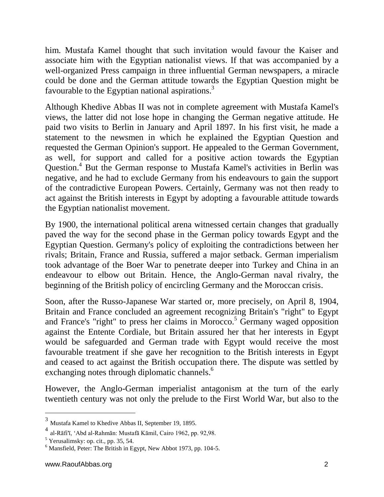him. Mustafa Kamel thought that such invitation would favour the Kaiser and associate him with the Egyptian nationalist views. If that was accompanied by a well-organized Press campaign in three influential German newspapers, a miracle could be done and the German attitude towards the Egyptian Question might be favourable to the Egyptian national aspirations.<sup>3</sup>

Although Khedive Abbas II was not in complete agreement with Mustafa Kamel's views, the latter did not lose hope in changing the German negative attitude. He paid two visits to Berlin in January and April 1897. In his first visit, he made a statement to the newsmen in which he explained the Egyptian Question and requested the German Opinion's support. He appealed to the German Government, as well, for support and called for a positive action towards the Egyptian Question. <sup>4</sup> But the German response to Mustafa Kamel's activities in Berlin was negative, and he had to exclude Germany from his endeavours to gain the support of the contradictive European Powers. Certainly, Germany was not then ready to act against the British interests in Egypt by adopting a favourable attitude towards the Egyptian nationalist movement.

By 1900, the international political arena witnessed certain changes that gradually paved the way for the second phase in the German policy towards Egypt and the Egyptian Question. Germany's policy of exploiting the contradictions between her rivals; Britain, France and Russia, suffered a major setback. German imperialism took advantage of the Boer War to penetrate deeper into Turkey and China in an endeavour to elbow out Britain. Hence, the Anglo-German naval rivalry, the beginning of the British policy of encircling Germany and the Moroccan crisis.

Soon, after the Russo-Japanese War started or, more precisely, on April 8, 1904, Britain and France concluded an agreement recognizing Britain's "right" to Egypt and France's "right" to press her claims in Morocco. <sup>5</sup> Germany waged opposition against the Entente Cordiale, but Britain assured her that her interests in Egypt would be safeguarded and German trade with Egypt would receive the most favourable treatment if she gave her recognition to the British interests in Egypt and ceased to act against the British occupation there. The dispute was settled by exchanging notes through diplomatic channels.<sup>6</sup>

However, the Anglo-German imperialist antagonism at the turn of the early twentieth century was not only the prelude to the First World War, but also to the

l

<sup>3</sup> Mustafa Kamel to Khedive Abbas II, September 19, 1895.

<sup>4</sup> al-Rāfi'ī, 'Abd al-Rahmān: Mustafā Kāmil, Cairo 1962, pp. 92,98.

 $<sup>5</sup>$  Yerusalimsky: op. cit., pp. 35, 54.</sup>

<sup>&</sup>lt;sup>6</sup> Mansfield, Peter: The British in Egypt, New Abbot 1973, pp. 104-5.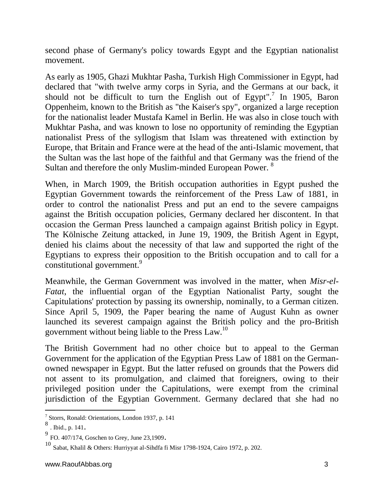second phase of Germany's policy towards Egypt and the Egyptian nationalist movement.

As early as 1905, Ghazi Mukhtar Pasha, Turkish High Commissioner in Egypt, had declared that "with twelve army corps in Syria, and the Germans at our back, it should not be difficult to turn the English out of Egypt".<sup>7</sup> In 1905, Baron Oppenheim, known to the British as "the Kaiser's spy", organized a large reception for the nationalist leader Mustafa Kamel in Berlin. He was also in close touch with Mukhtar Pasha, and was known to lose no opportunity of reminding the Egyptian nationalist Press of the syllogism that Islam was threatened with extinction by Europe, that Britain and France were at the head of the anti-Islamic movement, that the Sultan was the last hope of the faithful and that Germany was the friend of the Sultan and therefore the only Muslim-minded European Power. <sup>8</sup>

When, in March 1909, the British occupation authorities in Egypt pushed the Egyptian Government towards the reinforcement of the Press Law of 1881, in order to control the nationalist Press and put an end to the severe campaigns against the British occupation policies, Germany declared her discontent. In that occasion the German Press launched a campaign against British policy in Egypt. The Kölnische Zeitung attacked, in June 19, 1909, the British Agent in Egypt, denied his claims about the necessity of that law and supported the right of the Egyptians to express their opposition to the British occupation and to call for a constitutional government. 9

Meanwhile, the German Government was involved in the matter, when *Misr-el-Fatat*, the influential organ of the Egyptian Nationalist Party, sought the Capitulations' protection by passing its ownership, nominally, to a German citizen. Since April 5, 1909, the Paper bearing the name of August Kuhn as owner launched its severest campaign against the British policy and the pro-British government without being liable to the Press Law.<sup>10</sup>

The British Government had no other choice but to appeal to the German Government for the application of the Egyptian Press Law of 1881 on the Germanowned newspaper in Egypt. But the latter refused on grounds that the Powers did not assent to its promulgation, and claimed that foreigners, owing to their privileged position under the Capitulations, were exempt from the criminal jurisdiction of the Egyptian Government. Germany declared that she had no

l 7 Storrs, Ronald: Orientations, London 1937, p. 141

<sup>8</sup> . Ibid., p. 141.

<sup>9</sup> FO. 407/174, Goschen to Grey, June 23,1909.

<sup>10</sup> Sabat, Khalil & Others: Hurriyyat al-Sihdfa fi Misr 1798-1924, Cairo 1972, p. 202.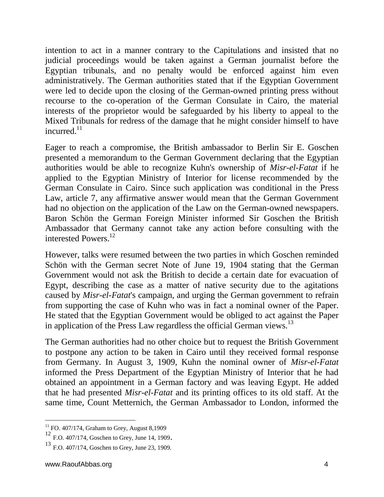intention to act in a manner contrary to the Capitulations and insisted that no judicial proceedings would be taken against a German journalist before the Egyptian tribunals, and no penalty would be enforced against him even administratively. The German authorities stated that if the Egyptian Government were led to decide upon the closing of the German-owned printing press without recourse to the co-operation of the German Consulate in Cairo, the material interests of the proprietor would be safeguarded by his liberty to appeal to the Mixed Tribunals for redress of the damage that he might consider himself to have incurred. $11$ 

Eager to reach a compromise, the British ambassador to Berlin Sir E. Goschen presented a memorandum to the German Government declaring that the Egyptian authorities would be able to recognize Kuhn's ownership of *Misr-el-Fatat* if he applied to the Egyptian Ministry of Interior for license recommended by the German Consulate in Cairo. Since such application was conditional in the Press Law, article 7, any affirmative answer would mean that the German Government had no objection on the application of the Law on the German-owned newspapers. Baron Schön the German Foreign Minister informed Sir Goschen the British Ambassador that Germany cannot take any action before consulting with the interested Powers. 12

However, talks were resumed between the two parties in which Goschen reminded Schön with the German secret Note of June 19, 1904 stating that the German Government would not ask the British to decide a certain date for evacuation of Egypt, describing the case as a matter of native security due to the agitations caused by *Misr-el-Fatat*'s campaign, and urging the German government to refrain from supporting the case of Kuhn who was in fact a nominal owner of the Paper. He stated that the Egyptian Government would be obliged to act against the Paper in application of the Press Law regardless the official German views.<sup>13</sup>

The German authorities had no other choice but to request the British Government to postpone any action to be taken in Cairo until they received formal response from Germany. In August 3, 1909, Kuhn the nominal owner of *Misr-el-Fatat* informed the Press Department of the Egyptian Ministry of Interior that he had obtained an appointment in a German factory and was leaving Egypt. He added that he had presented *Misr-el-Fatat* and its printing offices to its old staff. At the same time, Count Metternich, the German Ambassador to London, informed the

l  $11$  FO. 407/174, Graham to Grey, August 8,1909

<sup>12</sup> F.O. 407/174, Goschen to Grey, June 14, 1909.

 $13$  F.O. 407/174, Goschen to Grey, June 23, 1909.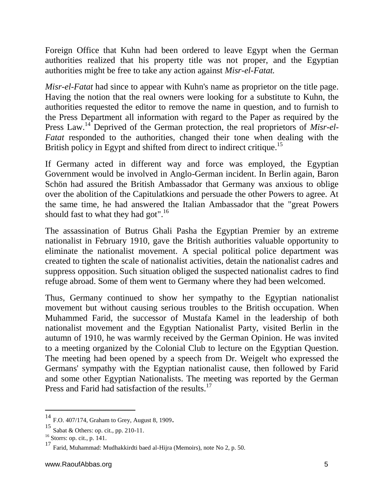Foreign Office that Kuhn had been ordered to leave Egypt when the German authorities realized that his property title was not proper, and the Egyptian authorities might be free to take any action against *Misr-el-Fatat.*

*Misr-el-Fatat* had since to appear with Kuhn's name as proprietor on the title page. Having the notion that the real owners were looking for a substitute to Kuhn, the authorities requested the editor to remove the name in question, and to furnish to the Press Department all information with regard to the Paper as required by the Press Law.<sup>14</sup> Deprived of the German protection, the real proprietors of *Misr-el-Fatat* responded to the authorities, changed their tone when dealing with the British policy in Egypt and shifted from direct to indirect critique.<sup>15</sup>

If Germany acted in different way and force was employed, the Egyptian Government would be involved in Anglo-German incident. In Berlin again, Baron Schön had assured the British Ambassador that Germany was anxious to oblige over the abolition of the Capitulatkions and persuade the other Powers to agree. At the same time, he had answered the Italian Ambassador that the "great Powers should fast to what they had got". $^{16}$ 

The assassination of Butrus Ghali Pasha the Egyptian Premier by an extreme nationalist in February 1910, gave the British authorities valuable opportunity to eliminate the nationalist movement. A special political police department was created to tighten the scale of nationalist activities, detain the nationalist cadres and suppress opposition. Such situation obliged the suspected nationalist cadres to find refuge abroad. Some of them went to Germany where they had been welcomed.

Thus, Germany continued to show her sympathy to the Egyptian nationalist movement but without causing serious troubles to the British occupation. When Muhammed Farid, the successor of Mustafa Kamel in the leadership of both nationalist movement and the Egyptian Nationalist Party, visited Berlin in the autumn of 1910, he was warmly received by the German Opinion. He was invited to a meeting organized by the Colonial Club to lecture on the Egyptian Question. The meeting had been opened by a speech from Dr. Weigelt who expressed the Germans' sympathy with the Egyptian nationalist cause, then followed by Farid and some other Egyptian Nationalists. The meeting was reported by the German Press and Farid had satisfaction of the results.<sup>17</sup>

l

<sup>14</sup> F.O. 407/174, Graham to Grey, August 8, 1909.

<sup>15</sup> Sabat & Others: op. cit., pp. 210-11.

 $16$  Storrs: op. cit., p. 141.

<sup>&</sup>lt;sup>17</sup> Farid, Muhammad: Mudhakkirdti baed al-Hijra (Memoirs), note No 2, p. 50.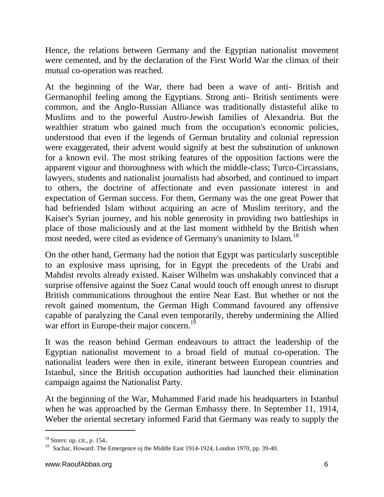Hence, the relations between Germany and the Egyptian nationalist movement were cemented, and by the declaration of the First World War the climax of their mutual co-operation was reached.

At the beginning of the War, there had been a wave of anti- British and Germanophil feeling among the Egyptians. Strong anti- British sentiments were common, and the Anglo-Russian Alliance was traditionally distasteful alike to Muslims and to the powerful Austro-Jewish families of Alexandria. But the wealthier stratum who gained much from the occupation's economic policies, understood that even if the legends of German brutality and colonial repression were exaggerated, their advent would signify at best the substitution of unknown for a known evil. The most striking features of the opposition factions were the apparent vigour and thoroughness with which the middle-class; Turco-Circassians, lawyers, students and nationalist journalists had absorbed, and continued to impart to others, the doctrine of affectionate and even passionate interest in and expectation of German success. For them, Germany was the one great Power that had befriended Islam without acquiring an acre of Muslim territory, and the Kaiser's Syrian journey, and his noble generosity in providing two battleships in place of those maliciously and at the last moment withheld by the British when most needed, were cited as evidence of Germany's unanimity to Islam.<sup>18</sup>

On the other hand, Germany had the notion that Egypt was particularly susceptible to an explosive mass uprising, for in Egypt the precedents of the Urabi and Mahdist revolts already existed. Kaiser Wilhelm was unshakably convinced that a surprise offensive against the Suez Canal would touch off enough unrest to disrupt British communications throughout the entire Near East. But whether or not the revolt gained momentum, the German High Command favoured any offensive capable of paralyzing the Canal even temporarily, thereby undermining the Allied war effort in Europe-their major concern.<sup>19</sup>

It was the reason behind German endeavours to attract the leadership of the Egyptian nationalist movement to a broad field of mutual co-operation. The nationalist leaders were then in exile, itinerant between European countries and Istanbul, since the British occupation authorities had launched their elimination campaign against the Nationalist Party.

At the beginning of the War, Muhammed Farid made his headquarters in Istanbul when he was approached by the German Embassy there. In September 11, 1914, Weber the oriental secretary informed Farid that Germany was ready to supply the

l

 $18$  Storrs: op. cit., p. 154.

<sup>&</sup>lt;sup>19</sup> Sachar, Howard: The Emergence oj the Middle East 1914-1924, London 1970, pp. 39-40.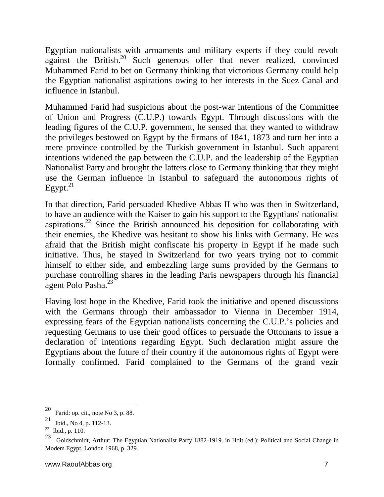Egyptian nationalists with armaments and military experts if they could revolt against the British.<sup>20</sup> Such generous offer that never realized, convinced Muhammed Farid to bet on Germany thinking that victorious Germany could help the Egyptian nationalist aspirations owing to her interests in the Suez Canal and influence in Istanbul.

Muhammed Farid had suspicions about the post-war intentions of the Committee of Union and Progress (C.U.P.) towards Egypt. Through discussions with the leading figures of the C.U.P. government, he sensed that they wanted to withdraw the privileges bestowed on Egypt by the firmans of 1841, 1873 and turn her into a mere province controlled by the Turkish government in Istanbul. Such apparent intentions widened the gap between the C.U.P. and the leadership of the Egyptian Nationalist Party and brought the latters close to Germany thinking that they might use the German influence in Istanbul to safeguard the autonomous rights of Egypt. $^{21}$ 

In that direction, Farid persuaded Khedive Abbas II who was then in Switzerland, to have an audience with the Kaiser to gain his support to the Egyptians' nationalist aspirations.<sup>22</sup> Since the British announced his deposition for collaborating with their enemies, the Khedive was hesitant to show his links with Germany. He was afraid that the British might confiscate his property in Egypt if he made such initiative. Thus, he stayed in Switzerland for two years trying not to commit himself to either side, and embezzling large sums provided by the Germans to purchase controlling shares in the leading Paris newspapers through his financial agent Polo Pasha.<sup>23</sup>

Having lost hope in the Khedive, Farid took the initiative and opened discussions with the Germans through their ambassador to Vienna in December 1914, expressing fears of the Egyptian nationalists concerning the C.U.P.'s policies and requesting Germans to use their good offices to persuade the Ottomans to issue a declaration of intentions regarding Egypt. Such declaration might assure the Egyptians about the future of their country if the autonomous rights of Egypt were formally confirmed. Farid complained to the Germans of the grand vezir

<sup>20</sup> Farid: op. cit., note No 3, p. 88.

 $21$  Ibid., No 4, p. 112-13.

<sup>22</sup> Ibid., p. 110.

<sup>23</sup> Goldschmidt, Arthur: The Egyptian Nationalist Party 1882-1919. in Holt (ed.): Political and Social Change in Modem Egypt, London 1968, p. 329.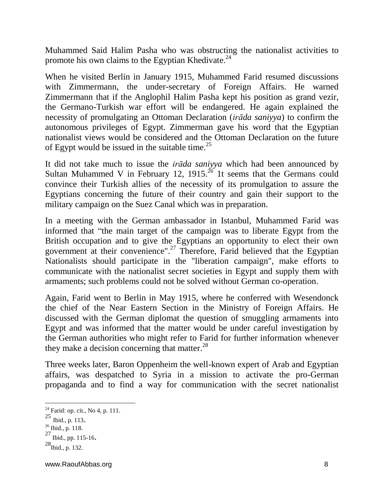Muhammed Said Halim Pasha who was obstructing the nationalist activities to promote his own claims to the Egyptian Khedivate.<sup>24</sup>

When he visited Berlin in January 1915, Muhammed Farid resumed discussions with Zimmermann, the under-secretary of Foreign Affairs. He warned Zimmermann that if the Anglophil Halim Pasha kept his position as grand vezir, the Germano-Turkish war effort will be endangered. He again explained the necessity of promulgating an Ottoman Declaration (*irāda saniyya*) to confirm the autonomous privileges of Egypt. Zimmerman gave his word that the Egyptian nationalist views would be considered and the Ottoman Declaration on the future of Egypt would be issued in the suitable time.<sup>25</sup>

It did not take much to issue the *irāda saniyya* which had been announced by Sultan Muhammed V in February 12, 1915.<sup>26</sup> 1t seems that the Germans could convince their Turkish allies of the necessity of its promulgation to assure the Egyptians concerning the future of their country and gain their support to the military campaign on the Suez Canal which was in preparation.

In a meeting with the German ambassador in Istanbul, Muhammed Farid was informed that "the main target of the campaign was to liberate Egypt from the British occupation and to give the Egyptians an opportunity to elect their own government at their convenience".<sup>27</sup> Therefore, Farid believed that the Egyptian Nationalists should participate in the "liberation campaign", make efforts to communicate with the nationalist secret societies in Egypt and supply them with armaments; such problems could not be solved without German co-operation.

Again, Farid went to Berlin in May 1915, where he conferred with Wesendonck the chief of the Near Eastern Section in the Ministry of Foreign Affairs. He discussed with the German diplomat the question of smuggling armaments into Egypt and was informed that the matter would be under careful investigation by the German authorities who might refer to Farid for further information whenever they make a decision concerning that matter. $^{28}$ 

Three weeks later, Baron Oppenheim the well-known expert of Arab and Egyptian affairs, was despatched to Syria in a mission to activate the pro-German propaganda and to find a way for communication with the secret nationalist

 $24$  Farid: op. cit., No 4, p. 111.

 $^{25}$  Ibid., p. 113.

 $26$  Ibid., p. 118.

 $^{27}$  Ibid., pp. 115-16.

 $^{28}$ Ibid., p. 132.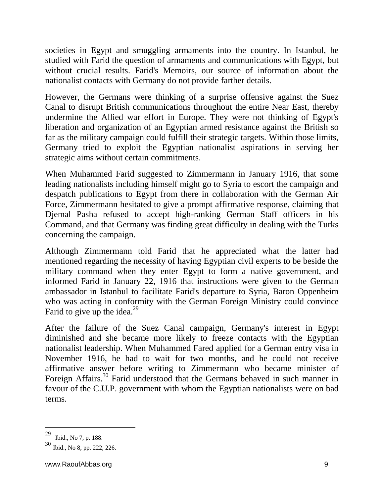societies in Egypt and smuggling armaments into the country. In Istanbul, he studied with Farid the question of armaments and communications with Egypt, but without crucial results. Farid's Memoirs, our source of information about the nationalist contacts with Germany do not provide farther details.

However, the Germans were thinking of a surprise offensive against the Suez Canal to disrupt British communications throughout the entire Near East, thereby undermine the Allied war effort in Europe. They were not thinking of Egypt's liberation and organization of an Egyptian armed resistance against the British so far as the military campaign could fulfill their strategic targets. Within those limits, Germany tried to exploit the Egyptian nationalist aspirations in serving her strategic aims without certain commitments.

When Muhammed Farid suggested to Zimmermann in January 1916, that some leading nationalists including himself might go to Syria to escort the campaign and despatch publications to Egypt from there in collaboration with the German Air Force, Zimmermann hesitated to give a prompt affirmative response, claiming that Djemal Pasha refused to accept high-ranking German Staff officers in his Command, and that Germany was finding great difficulty in dealing with the Turks concerning the campaign.

Although Zimmermann told Farid that he appreciated what the latter had mentioned regarding the necessity of having Egyptian civil experts to be beside the military command when they enter Egypt to form a native government, and informed Farid in January 22, 1916 that instructions were given to the German ambassador in Istanbul to facilitate Farid's departure to Syria, Baron Oppenheim who was acting in conformity with the German Foreign Ministry could convince Farid to give up the idea.<sup>29</sup>

After the failure of the Suez Canal campaign, Germany's interest in Egypt diminished and she became more likely to freeze contacts with the Egyptian nationalist leadership. When Muhammed Fared applied for a German entry visa in November 1916, he had to wait for two months, and he could not receive affirmative answer before writing to Zimmermann who became minister of Foreign Affairs.<sup>30</sup> Farid understood that the Germans behaved in such manner in favour of the C.U.P. government with whom the Egyptian nationalists were on bad terms.

<sup>29</sup> Ibid., No 7, p. 188.

<sup>30</sup> Ibid., No 8, pp. 222, 226.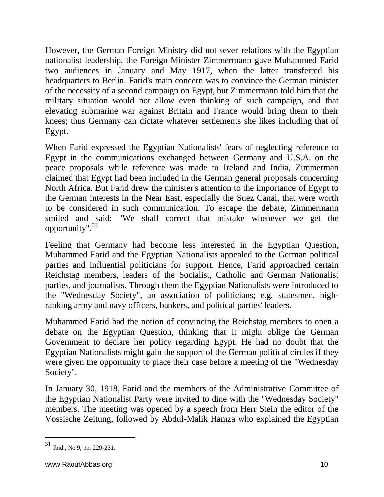However, the German Foreign Ministry did not sever relations with the Egyptian nationalist leadership, the Foreign Minister Zimmermann gave Muhammed Farid two audiences in January and May 1917, when the latter transferred his headquarters to Berlin. Farid's main concern was to convince the German minister of the necessity of a second campaign on Egypt, but Zimmermann told him that the military situation would not allow even thinking of such campaign, and that elevating submarine war against Britain and France would bring them to their knees; thus Germany can dictate whatever settlements she likes including that of Egypt.

When Farid expressed the Egyptian Nationalists' fears of neglecting reference to Egypt in the communications exchanged between Germany and U.S.A. on the peace proposals while reference was made to Ireland and India, Zimmerman claimed that Egypt had been included in the German general proposals concerning North Africa. But Farid drew the minister's attention to the importance of Egypt to the German interests in the Near East, especially the Suez Canal, that were worth to be considered in such communication. To escape the debate, Zimmermann smiled and said: "We shall correct that mistake whenever we get the opportunity". $31$ 

Feeling that Germany had become less interested in the Egyptian Question, Muhammed Farid and the Egyptian Nationalists appealed to the German political parties and influential politicians for support. Hence, Farid approached certain Reichstag members, leaders of the Socialist, Catholic and German Nationalist parties, and journalists. Through them the Egyptian Nationalists were introduced to the "Wednesday Society", an association of politicians; e.g. statesmen, highranking army and navy officers, bankers, and political parties' leaders.

Muhammed Farid had the notion of convincing the Reichstag members to open a debate on the Egyptian Question, thinking that it might oblige the German Government to declare her policy regarding Egypt. He had no doubt that the Egyptian Nationalists might gain the support of the German political circles if they were given the opportunity to place their case before a meeting of the "Wednesday Society".

In January 30, 1918, Farid and the members of the Administrative Committee of the Egyptian Nationalist Party were invited to dine with the "Wednesday Society" members. The meeting was opened by a speech from Herr Stein the editor of the Vossische Zeitung, followed by Abdul-Malik Hamza who explained the Egyptian

 $31$  Ibid., No 9, pp. 229-231.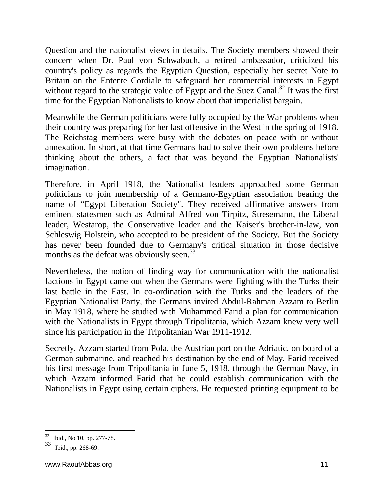Question and the nationalist views in details. The Society members showed their concern when Dr. Paul von Schwabuch, a retired ambassador, criticized his country's policy as regards the Egyptian Question, especially her secret Note to Britain on the Entente Cordiale to safeguard her commercial interests in Egypt without regard to the strategic value of Egypt and the Suez Canal.<sup>32</sup> It was the first time for the Egyptian Nationalists to know about that imperialist bargain.

Meanwhile the German politicians were fully occupied by the War problems when their country was preparing for her last offensive in the West in the spring of 1918. The Reichstag members were busy with the debates on peace with or without annexation. In short, at that time Germans had to solve their own problems before thinking about the others, a fact that was beyond the Egyptian Nationalists' imagination.

Therefore, in April 1918, the Nationalist leaders approached some German politicians to join membership of a Germano-Egyptian association bearing the name of "Egypt Liberation Society". They received affirmative answers from eminent statesmen such as Admiral Alfred von Tirpitz, Stresemann, the Liberal leader, Westarop, the Conservative leader and the Kaiser's brother-in-law, von Schleswig Holstein, who accepted to be president of the Society. But the Society has never been founded due to Germany's critical situation in those decisive months as the defeat was obviously seen.<sup>33</sup>

Nevertheless, the notion of finding way for communication with the nationalist factions in Egypt came out when the Germans were fighting with the Turks their last battle in the East. In co-ordination with the Turks and the leaders of the Egyptian Nationalist Party, the Germans invited Abdul-Rahman Azzam to Berlin in May 1918, where he studied with Muhammed Farid a plan for communication with the Nationalists in Egypt through Tripolitania, which Azzam knew very well since his participation in the Tripolitanian War 1911-1912.

Secretly, Azzam started from Pola, the Austrian port on the Adriatic, on board of a German submarine, and reached his destination by the end of May. Farid received his first message from Tripolitania in June 5, 1918, through the German Navy, in which Azzam informed Farid that he could establish communication with the Nationalists in Egypt using certain ciphers. He requested printing equipment to be

l  $\frac{32}{33}$  Ibid., No 10, pp. 277-78.

Ibid., pp. 268-69.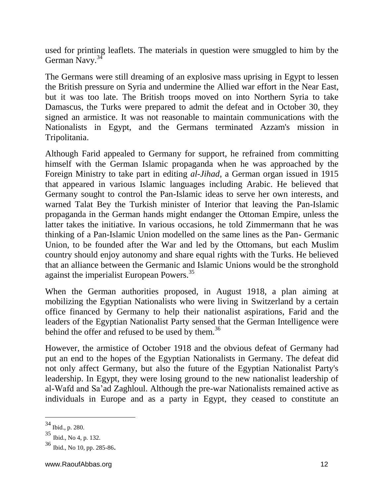used for printing leaflets. The materials in question were smuggled to him by the German Navy.<sup>34</sup>

The Germans were still dreaming of an explosive mass uprising in Egypt to lessen the British pressure on Syria and undermine the Allied war effort in the Near East, but it was too late. The British troops moved on into Northern Syria to take Damascus, the Turks were prepared to admit the defeat and in October 30, they signed an armistice. It was not reasonable to maintain communications with the Nationalists in Egypt, and the Germans terminated Azzam's mission in Tripolitania.

Although Farid appealed to Germany for support, he refrained from committing himself with the German Islamic propaganda when he was approached by the Foreign Ministry to take part in editing *al-Jihad*, a German organ issued in 1915 that appeared in various Islamic languages including Arabic. He believed that Germany sought to control the Pan-Islamic ideas to serve her own interests, and warned Talat Bey the Turkish minister of Interior that leaving the Pan-Islamic propaganda in the German hands might endanger the Ottoman Empire, unless the latter takes the initiative. In various occasions, he told Zimmermann that he was thinking of a Pan-Islamic Union modelled on the same lines as the Pan- Germanic Union, to be founded after the War and led by the Ottomans, but each Muslim country should enjoy autonomy and share equal rights with the Turks. He believed that an alliance between the Germanic and Islamic Unions would be the stronghold against the imperialist European Powers.<sup>35</sup>

When the German authorities proposed, in August 1918, a plan aiming at mobilizing the Egyptian Nationalists who were living in Switzerland by a certain office financed by Germany to help their nationalist aspirations, Farid and the leaders of the Egyptian Nationalist Party sensed that the German Intelligence were behind the offer and refused to be used by them.<sup>36</sup>

However, the armistice of October 1918 and the obvious defeat of Germany had put an end to the hopes of the Egyptian Nationalists in Germany. The defeat did not only affect Germany, but also the future of the Egyptian Nationalist Party's leadership. In Egypt, they were losing ground to the new nationalist leadership of al-Wafd and Sa'ad Zaghloul. Although the pre-war Nationalists remained active as individuals in Europe and as a party in Egypt, they ceased to constitute an

<sup>34</sup> Ibid., p. 280.

<sup>35</sup> Ibid., No 4, p. 132.

 $36$  Ibid., No 10, pp. 285-86.